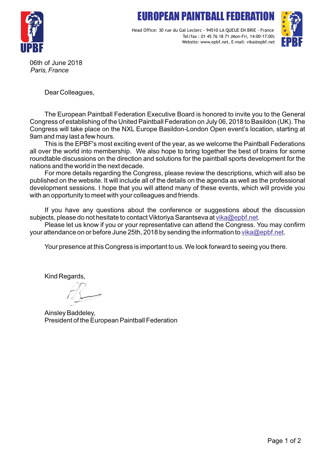# FIIROPFAN PAINTRALL FEDE



Head Office: 30 rue du Gal Leclerc - 94510 LA QUEUE EN BRIE - France Tel/fax : 01 45 76 18 71 (Mon-Fri, 14:00-17:00) Website: www.epbf.net, E-mail: vika@epbf.net



06th of June 2018 *Paris, France*

Dear Colleagues,

The European Paintball Federation Executive Board is honored to invite you to the General Congress of establishing of the United Paintball Federation on July 06, 2018 to Basildon (UK). The Congress will take place on the NXL Europe Basildon-London Open event's location, starting at 9am and may last a few hours.

This is the EPBF's most exciting event of the year, as we welcome the Paintball Federations all over the world into membership. We also hope to bring together the best of brains for some roundtable discussions on the direction and solutions for the paintball sports development for the nations and the world in the next decade.

For more details regarding the Congress, please review the descriptions, which will also be published on the website. It will include all of the details on the agenda as well as the professional development sessions. I hope that you will attend many of these events, which will provide you with an opportunity to meet with your colleagues and friends.

If you have any questions about the conference or suggestions about the discussion subjects, please do not hesitate to contact Viktoriya Sarantseva at [vika@epbf.net](mailto:vika@epbf.net).

Please let us know if you or your representative can attend the Congress. You may confirm your attendance on or before June 25th, 2018 by sending the information to [vika@epbf.net](mailto:vika@epbf.net).

Your presence at this Congress is important to us. We look forward to seeing you there.

Kind Regards,

Ainsley Baddeley, President of the European Paintball Federation